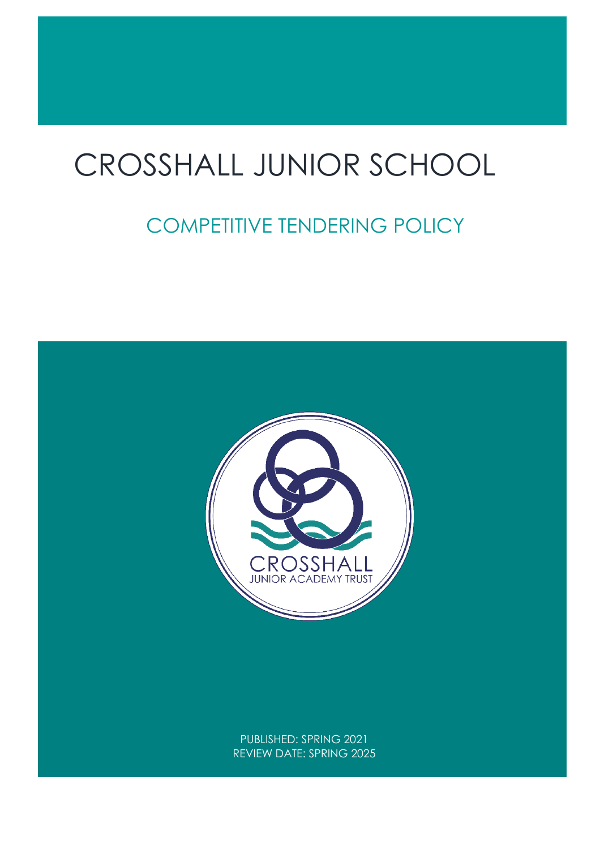# $\overline{a}$ CROSSHALL JUNIOR SCHOOL

# COMPETITIVE TENDERING POLICY

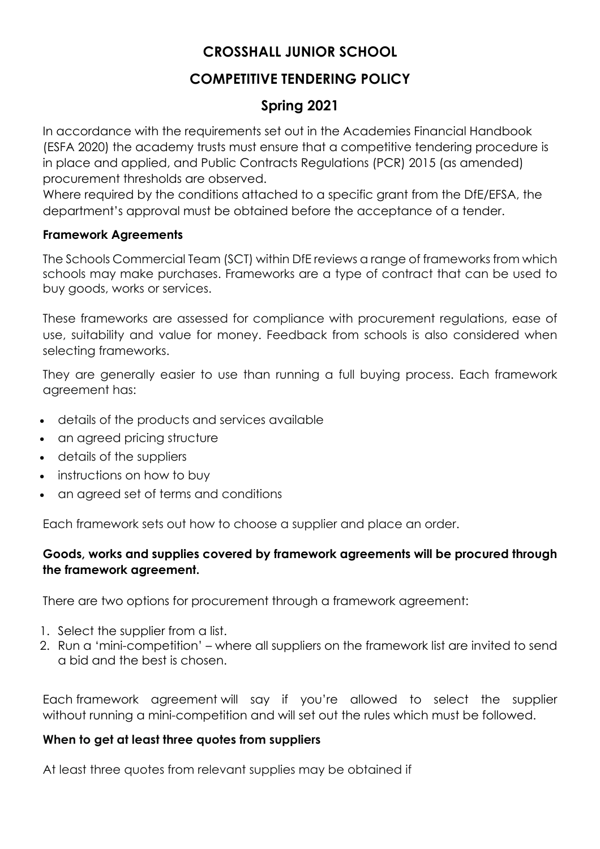# **CROSSHALL JUNIOR SCHOOL**

# **COMPETITIVE TENDERING POLICY**

# **Spring 2021**

In accordance with the requirements set out in the Academies Financial Handbook (ESFA 2020) the academy trusts must ensure that a competitive tendering procedure is in place and applied, and Public Contracts Regulations (PCR) 2015 (as amended) procurement thresholds are observed.

Where required by the conditions attached to a specific grant from the DfE/EFSA, the department's approval must be obtained before the acceptance of a tender.

#### **Framework Agreements**

The Schools Commercial Team (SCT) within DfE reviews a range of frameworks from which schools may make purchases. Frameworks are a type of contract that can be used to buy goods, works or services.

These frameworks are assessed for compliance with procurement regulations, ease of use, suitability and value for money. Feedback from schools is also considered when selecting frameworks.

They are generally easier to use than running a full buying process. Each framework agreement has:

- details of the products and services available
- an agreed pricing structure
- details of the suppliers
- instructions on how to buy
- an agreed set of terms and conditions

Each framework sets out how to choose a supplier and place an order.

### **Goods, works and supplies covered by framework agreements will be procured through the framework agreement.**

There are two options for procurement through a framework agreement:

- 1. Select the supplier from a list.
- 2. Run a 'mini-competition' where all suppliers on the framework list are invited to send a bid and the best is chosen.

Each framework agreement will say if you're allowed to select the supplier without running a mini-competition and will set out the rules which must be followed.

#### **When to get at least three quotes from suppliers**

At least three quotes from relevant supplies may be obtained if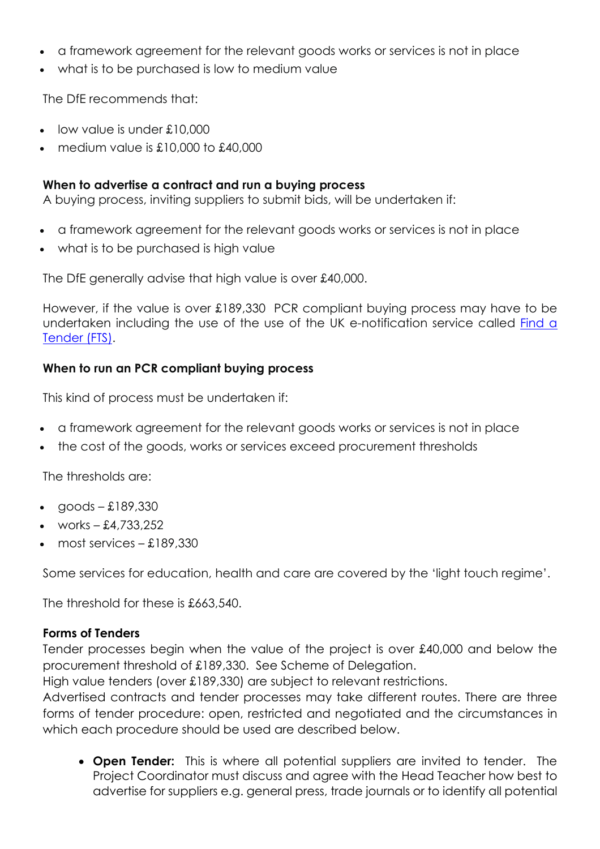- a framework agreement for the relevant goods works or services is not in place
- what is to be purchased is low to medium value

The DfE recommends that:

- low value is under £10,000
- medium value is  $£10,000$  to  $£40,000$

## **When to advertise a contract and run a buying process**

A buying process, inviting suppliers to submit bids, will be undertaken if:

- a framework agreement for the relevant goods works or services is not in place
- what is to be purchased is high value

The DfE generally advise that high value is over £40,000.

However, if the value is over £189,330 PCR compliant buying process may have to be undertaken including the use of the use of the UK e-notification service called Find a Tender (FTS).

### **When to run an PCR compliant buying process**

This kind of process must be undertaken if:

- a framework agreement for the relevant goods works or services is not in place
- the cost of the goods, works or services exceed procurement thresholds

The thresholds are:

- $q$ oods £189,330
- works  $-4.733.252$
- most services £189,330

Some services for education, health and care are covered by the 'light touch regime'.

The threshold for these is £663,540.

#### **Forms of Tenders**

Tender processes begin when the value of the project is over £40,000 and below the procurement threshold of £189,330. See Scheme of Delegation.

High value tenders (over £189,330) are subject to relevant restrictions.

Advertised contracts and tender processes may take different routes. There are three forms of tender procedure: open, restricted and negotiated and the circumstances in which each procedure should be used are described below.

• **Open Tender:** This is where all potential suppliers are invited to tender. The Project Coordinator must discuss and agree with the Head Teacher how best to advertise for suppliers e.g. general press, trade journals or to identify all potential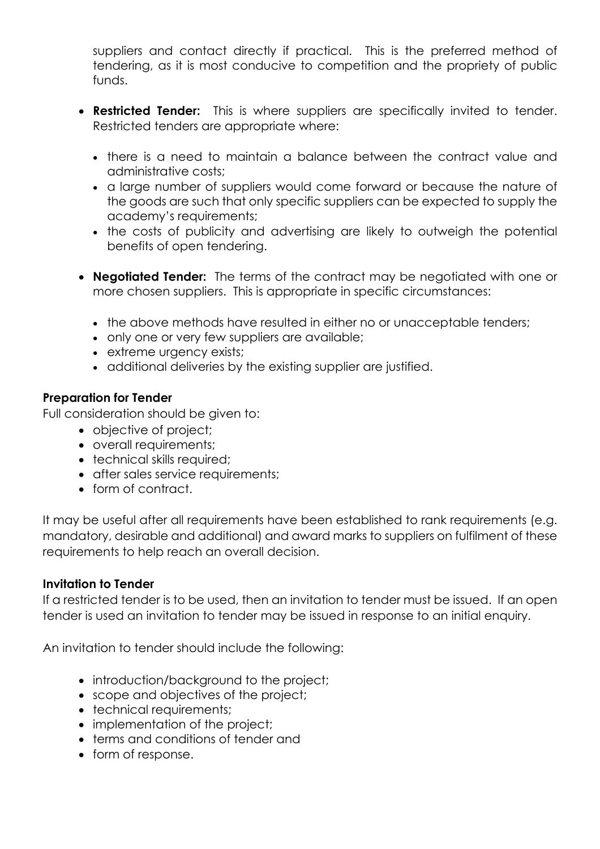suppliers and contact directly if practical. This is the preferred method of tendering, as it is most conducive to competition and the propriety of public funds.

- **Restricted Tender:** This is where suppliers are specifically invited to tender. Restricted tenders are appropriate where:
	- there is a need to maintain a balance between the contract value and administrative costs;
	- a large number of suppliers would come forward or because the nature of the goods are such that only specific suppliers can be expected to supply the academy's requirements;
	- the costs of publicity and advertising are likely to outweigh the potential benefits of open tendering.
- **Negotiated Tender:** The terms of the contract may be negotiated with one or more chosen suppliers. This is appropriate in specific circumstances:
	- the above methods have resulted in either no or unacceptable tenders;
	- only one or very few suppliers are available;
	- extreme urgency exists;
	- additional deliveries by the existing supplier are justified.

# **Preparation for Tender**

Full consideration should be given to:

- objective of project;
- overall requirements;
- technical skills required:
- after sales service requirements;
- form of contract.

It may be useful after all requirements have been established to rank requirements (e.g. mandatory, desirable and additional) and award marks to suppliers on fulfilment of these requirements to help reach an overall decision.

#### **Invitation to Tender**

If a restricted tender is to be used, then an invitation to tender must be issued. If an open tender is used an invitation to tender may be issued in response to an initial enquiry.

An invitation to tender should include the following:

- introduction/background to the project;
- scope and objectives of the project;
- technical requirements;
- implementation of the project;
- terms and conditions of tender and
- form of response.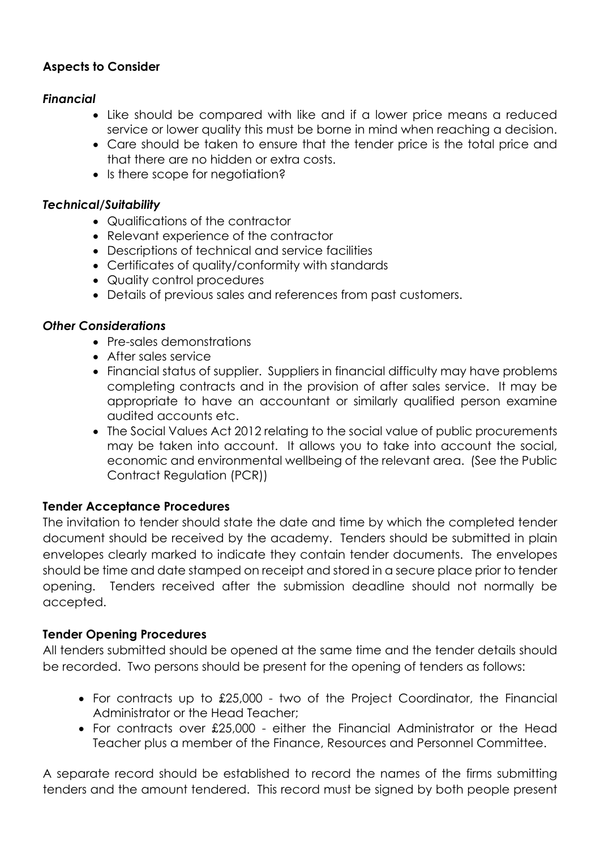## **Aspects to Consider**

#### *Financial*

- Like should be compared with like and if a lower price means a reduced service or lower quality this must be borne in mind when reaching a decision.
- Care should be taken to ensure that the tender price is the total price and that there are no hidden or extra costs.
- Is there scope for negotiation?

#### *Technical/Suitability*

- Qualifications of the contractor
- Relevant experience of the contractor
- Descriptions of technical and service facilities
- Certificates of quality/conformity with standards
- Quality control procedures
- Details of previous sales and references from past customers.

#### *Other Considerations*

- Pre-sales demonstrations
- After sales service
- Financial status of supplier. Suppliers in financial difficulty may have problems completing contracts and in the provision of after sales service. It may be appropriate to have an accountant or similarly qualified person examine audited accounts etc.
- The Social Values Act 2012 relating to the social value of public procurements may be taken into account. It allows you to take into account the social, economic and environmental wellbeing of the relevant area. (See the Public Contract Regulation (PCR))

# **Tender Acceptance Procedures**

The invitation to tender should state the date and time by which the completed tender document should be received by the academy. Tenders should be submitted in plain envelopes clearly marked to indicate they contain tender documents. The envelopes should be time and date stamped on receipt and stored in a secure place prior to tender opening. Tenders received after the submission deadline should not normally be accepted.

#### **Tender Opening Procedures**

All tenders submitted should be opened at the same time and the tender details should be recorded. Two persons should be present for the opening of tenders as follows:

- For contracts up to £25,000 two of the Project Coordinator, the Financial Administrator or the Head Teacher;
- For contracts over £25,000 either the Financial Administrator or the Head Teacher plus a member of the Finance, Resources and Personnel Committee.

A separate record should be established to record the names of the firms submitting tenders and the amount tendered. This record must be signed by both people present